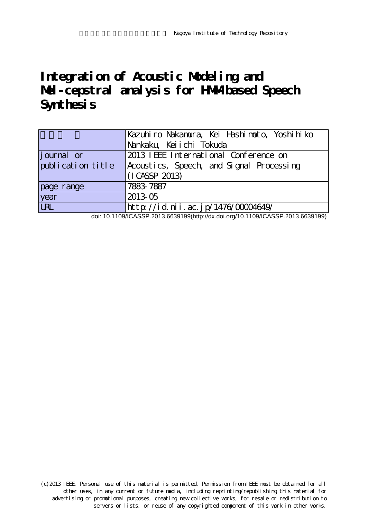# **Integration of Acoustic Modeling and Mel-cepstral analysis for HMM-based Speech Synthesis**

|                   | Kazuhiro Nakamura, Kei Hashimoto, Yoshihiko |
|-------------------|---------------------------------------------|
|                   | Nankaku, Kei i chi Tokuda                   |
| journal or        | 2013 I EEE International Conference on      |
| publication title | Acoustics, Speech, and Signal Processing    |
|                   | (ICASSP 2013)                               |
| page range        | 7883-7887                                   |
| year              | 2013-05                                     |
| URL               | http://id.nii.ac.jp/1476/00004649/          |

doi: 10.1109/ICASSP.2013.6639199(http://dx.doi.org/10.1109/ICASSP.2013.6639199)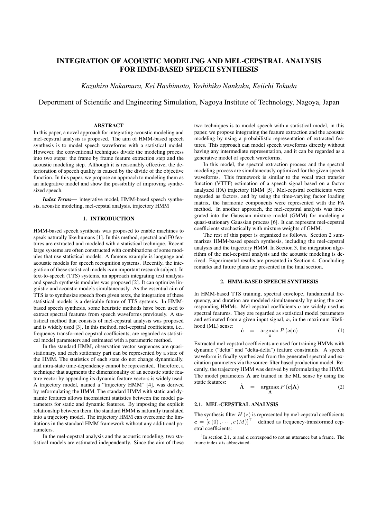## INTEGRATION OF ACOUSTIC MODELING AND MEL-CEPSTRAL ANALYSIS FOR HMM-BASED SPEECH SYNTHESIS

*Kazuhiro Nakamura, Kei Hashimoto, Yoshihiko Nankaku, Keiichi Tokuda*

Deportment of Scientific and Engineering Simulation, Nagoya Institute of Technology, Nagoya, Japan

## ABSTRACT

In this paper, a novel approach for integrating acoustic modeling and mel-cepstral analysis is proposed. The aim of HMM-based speech synthesis is to model speech waveforms with a statistical model. However, the conventional techniques divide the modeling process into two steps: the frame by frame feature extraction step and the acoustic modeling step. Although it is reasonably effective, the deterioration of speech quality is caused by the divide of the objective function. In this paper, we propose an approach to modeling them as an integrative model and show the possibility of improving synthesized speech.

*Index Terms*— integrative model, HMM-based speech synthesis, acoustic modeling, mel-cepstal analysis, trajectory HMM

## 1. INTRODUCTION

HMM-based speech synthesis was proposed to enable machines to speak naturally like humans [1]. In this method, spectral and F0 features are extracted and modeled with a statistical technique. Recent large systems are often constructed with combinations of some modules that use statistical models. A famous example is language and acoustic models for speech recognition systems. Recently, the integration of these statistical models is an important research subject. In text-to-speech (TTS) systems, an approach integrating text analysis and speech synthesis modules was proposed [2]. It can optimize linguistic and acoustic models simultaneously. As the essential aim of TTS is to synthesize speech from given texts, the integration of these statistical models is a desirable future of TTS systems. In HMMbased speech synthesis, some heuristic methods have been used to extract spectral features from speech waveforms previously. A statistical method that consists of mel-cepstral analysis was proposed and is widely used [3]. In this method, mel-cepstral coefficients, i.e., frequency transformed cepstral coefficients, are regarded as statistical model parameters and estimated with a parametric method.

In the standard HMM, observation vector sequences are quasistationary, and each stationary part can be represented by a state of the HMM. The statistics of each state do not change dynamically, and intra-state time-dependency cannot be represented. Therefore, a technique that augments the dimensionality of an acoustic static feature vector by appending its dynamic feature vectors is widely used. A trajectory model, named a "trajectory HMM" [4], was derived by reformulating the HMM. The standard HMM with static and dynamic features allows inconsistent statistics between the model parameters for static and dynamic features. By imposing the explicit relationship between them, the standard HMM is naturally translated into a trajectory model. The trajectory HMM can overcome the limitations in the standard HMM framework without any additional parameters.

In the mel-cepstral analysis and the acoustic modeling, two statistical models are estimated independently. Since the aim of these

two techniques is to model speech with a statistical model, in this paper, we propose integrating the feature extraction and the acoustic modeling by using a probabilistic representation of extracted features. This approach can model speech waveforms directly without having any intermediate representation, and it can be regarded as a generative model of speech waveforms.

In this model, the spectral extraction process and the spectral modeling process are simultaneously optimized for the given speech waveforms. This framework is similar to the vocal tract transfer function (VTTF) estimation of a speech signal based on a factor analyzed (FA) trajectory HMM [5]. Mel-cepstral coefficients were regarded as factors, and by using the time-varying factor loading matrix, the harmonic components were represented with the FA method. In another approach, the mel-cepstral analysis was integrated into the Gaussian mixture model (GMM) for modeling a quasi-stationary Gaussian process [6]. It can represent mel-cepstral coefficients stochastically with mixture weights of GMM.

The rest of this paper is organized as follows. Section 2 summarizes HMM-based speech synthesis, including the mel-cepstral analysis and the trajectory HMM. In Section 3, the integration algorithm of the mel-cepstral analysis and the acoustic modeling is derived. Experimental results are presented in Section 4. Concluding remarks and future plans are presented in the final section.

#### 2. HMM-BASED SPEECH SYNTHESIS

In HMM-based TTS training, spectral envelope, fundamental frequency, and duration are modeled simultaneously by using the corresponding HMMs. Mel-cepstral coefficients *c* are widely used as spectral features. They are regarded as statistical model parameters and estimated from a given input signal, *x*, in the maximum likelihood (ML) sense:

$$
\hat{\mathbf{c}} = \underset{\mathbf{c}}{\operatorname{argmax}} P(\mathbf{x}|\mathbf{c}) \tag{1}
$$

Extracted mel-cepstral coefficients are used for training HMMs with dynamic ("delta" and "delta-delta") feature constraints. A speech waveform is finally synthesized from the generated spectral and excitation parameters via the source-filter based production model. Recently, the trajectory HMM was derived by reformulating the HMM. The model parameters  $\Lambda$  are trained in the ML sense by using the static features:

$$
\hat{\mathbf{\Lambda}} = \operatorname*{argmax}_{\mathbf{\Lambda}} P(c|\mathbf{\Lambda}) \tag{2}
$$

#### 2.1. MEL-CEPSTRAL ANALYSIS

The synthesis filter  $H(z)$  is represented by mel-cepstral coefficients  $c = [c(0), \cdots, c(M)]^{\top}$ <sup>1</sup> defined as frequency-transformed cepstral coefficients:

<sup>&</sup>lt;sup>1</sup>In section 2.1,  $\boldsymbol{x}$  and  $\boldsymbol{c}$  correspond to not an utterance but a frame. The frame index *t* is abbreviated.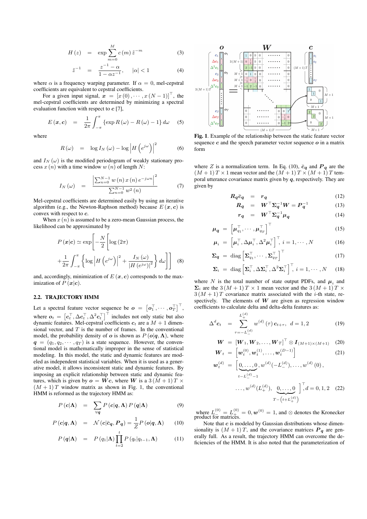$$
H(z) = \exp \sum_{m=0}^{M} c(m) \tilde{z}^{-m}
$$
 (3)

$$
\tilde{z}^{-1} = \frac{z^{-1} - \alpha}{1 - \alpha z^{-1}}, \quad |\alpha| < 1 \tag{4}
$$

where  $\alpha$  is a frequency warping parameter. If  $\alpha = 0$ , mel-cepstral coefficients are equivalent to cepstral coefficients.

For a given input signal,  $\mathbf{x} = [x(0), \cdots, x(N-1)]^{\top}$ , the mel-cepstral coefficients are determined by minimizing a spectral evaluation function with respect to *c* [7],

$$
E(\boldsymbol{x}, \boldsymbol{c}) = \frac{1}{2\pi} \int_{-\pi}^{\pi} \left\{ \exp R(\omega) - R(\omega) - 1 \right\} d\omega \quad (5)
$$

where

$$
R(\omega) = \log I_N(\omega) - \log \left| H\left(e^{j\omega}\right) \right|^2 \tag{6}
$$

and  $I_N(\omega)$  is the modified periodogram of weakly stationary process  $x(n)$  with a time window  $w(n)$  of length  $N$ :

$$
I_N(\omega) = \frac{\left| \sum_{n=0}^{N-1} w(n) x(n) e^{-j\omega n} \right|^2}{\sum_{n=0}^{N-1} w^2(n)} \tag{7}
$$

Mel-cepstral coefficients are determined easily by using an iterative algorithm (e.g., the Newton-Raphson method) because  $E(x, c)$  is convex with respect to *c*.

When  $x(n)$  is assumed to be a zero-mean Gaussian process, the likelihood can be approximated by

$$
P(\mathbf{x}|\mathbf{c}) \simeq \exp\left[-\frac{N}{2}\left[\log(2\pi) + \frac{1}{2\pi}\int_{-\pi}^{\pi}\left\{\log\left|H\left(e^{j\omega}\right)\right|^2 + \frac{I_N(\omega)}{|H\left(e^{j\omega}\right)|^2}\right\}d\omega\right]\right] \quad (8)
$$

and, accordingly, minimization of  $E(x, c)$  corresponds to the maximization of  $P(x|c)$ .

## 2.2. TRAJECTORY HMM

Let a spectral feature vector sequence be  $\boldsymbol{o} = \left[\boldsymbol{o}_1^\top, \cdots, \boldsymbol{o}_T^\top\right]^\top$ , where  $o_t = [c_t^\top, \Delta c_t^\top, \Delta^2 c_t^\top]^\top$  includes not only static but also dynamic features. Mel-cepstral coefficients  $c_t$  are a  $M + 1$  dimensional vector, and *T* is the number of frames. In the conventional model, the probability density of *o* is shown as  $P(o|q, \Lambda)$ , where  $q = (q_1, q_2, \cdots, q_T)$  is a state sequence. However, the conventional model is mathematically improper in the sense of statistical modeling. In this model, the static and dynamic features are modeled as independent statistical variables. When it is used as a generative model, it allows inconsistent static and dynamic features. By imposing an explicit relationship between static and dynamic features, which is given by  $o = \mathbf{W}c$ , where  $\mathbf{W}$  is a 3  $(M + 1)T \times$  $(M + 1)$  *T* window matrix as shown in Fig. 1, the conventional HMM is reformed as the trajectory HMM as:

$$
P(c|\Lambda) = \sum_{\forall q} P(c|q,\Lambda) P(q|\Lambda)
$$
 (9)

$$
P(c|q,\Lambda) = \mathcal{N}(c|\bar{c}_q, P_q) = \frac{1}{Z}P(o|q,\Lambda)
$$
 (10)

$$
P(q|\mathbf{\Lambda}) = P(q_1|\mathbf{\Lambda}) \prod_{t=2}^{t} P(q_t|q_{t-1}, \mathbf{\Lambda}) \quad (11)
$$



Fig. 1. Example of the relationship between the static feature vector sequence *c* and the speech parameter vector sequence *o* in a matrix form

where *Z* is a normalization term. In Eq. (10),  $\bar{c}_q$  and  $\bar{P}_q$  are the  $(M + 1) T \times 1$  mean vector and the  $(M + 1) T \times (M + 1) T$  temporal utterance covariance matrix given by *q*, respectively. They are given by

$$
R_q \bar{c}_q = r_q \tag{12}
$$

$$
R_q = W^\top \Sigma_q^{-1} W = P_q^{-1} \tag{13}
$$
\n
$$
r_{\alpha} = W^\top \Sigma_q^{-1} u \tag{14}
$$

$$
r_q = W^{\top} \Sigma_q^{-1} \mu_q \tag{14}
$$

$$
\mu_q = \begin{bmatrix} \mu_{q_1}^{\top}, \cdots, \mu_{q_T}^{\top} \end{bmatrix}^{\top}
$$
\n(15)

$$
\boldsymbol{\mu}_i = \left[ \boldsymbol{\mu}_i^\top, \Delta \boldsymbol{\mu}_i^\top, \Delta^2 \boldsymbol{\mu}_i^\top \right], i = 1, \cdots, N \tag{16}
$$

$$
\Sigma_{\boldsymbol{q}} = \text{diag}\left[\Sigma_{q_1}^{\top}, \cdots, \Sigma_{q_T}^{\top}\right]^{\top}
$$
\n(17)

$$
\mathbf{\Sigma}_{i} = \text{diag}\left[\mathbf{\Sigma}_{i}^{\top}, \Delta \mathbf{\Sigma}_{i}^{\top}, \Delta^{2} \mathbf{\Sigma}_{i}^{\top}\right]^{\top}, i = 1, \cdots, N \quad (18)
$$

where *N* is the total number of state output PDFs, and  $\mu_i$  and  $\Sigma_i$  are the 3  $(M + 1)T \times 1$  mean vector and the 3  $(M + 1)T \times$  $3(M+1)T$  covariance matrix associated with the *i*-th state, respectively. The elements of  $W$  are given as regression window coefficients to calculate delta and delta-delta features as:

$$
\Delta^{d} c_{t} = \sum_{\tau=-L_{-}^{(d)}}^{L_{+}^{(d)}} w^{(d)}(\tau) c_{t+\tau}, d = 1, 2
$$
\n(19)

$$
\mathbf{W} = \left[\mathbf{W}_1, \mathbf{W}_2, \dots, \mathbf{W}_T\right]^{\top} \otimes \mathbf{I}_{(M+1) \times (M+1)} \quad (20)
$$

$$
\boldsymbol{W}_t = \left[ \boldsymbol{w}_t^{(0)}, \boldsymbol{w}_t^{(1)}, \dots, \boldsymbol{w}_t^{(D-1)} \right] \tag{21}
$$

$$
\mathbf{v}_t^{(d)} = \left[ \underbrace{0, \dots, 0}_{t-L} , w^{(d)}(-L^{(d)}_-), \dots, w^{(d)}(0) \right],
$$
  

$$
\dots, w^{(d)}(L^{(d)}_+), \underbrace{0, \dots, 0}_{T-(t+L^{(d)}_+)} \right], d = 0, 1, 2 \quad (22)
$$

where  $L_{\text{ce}}^{(0)} = L_{\text{c}}^{(0)} = 0, \text{ }w^{(0)} = 1, \text{ and } \otimes \text{ denotes the Kronecker}$ product for matrices.

*w*

Note that *c* is modeled by Gaussian distributions whose dimensionality is  $(M + 1)T$ , and the covariance matrices  $P<sub>q</sub>$  are generally full. As a result, the trajectory HMM can overcome the deficiencies of the HMM. It is also noted that the parameterization of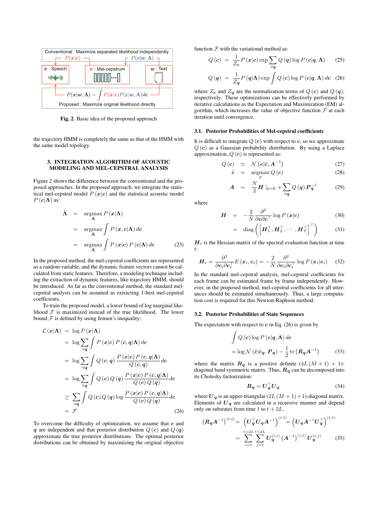

Fig. 2. Basic idea of the proposed approach

the trajectory HMM is completely the same as that of the HMM with the same model topology.

#### 3. INTEGRATION ALGORITHM OF ACOUSTIC MODELING AND MEL-CEPSTRAL ANALYSIS

Figure 2 shows the difference between the conventional and the proposed approaches. In the proposed approach, we integrate the statistical mel-cepstral model  $P(x|\mathbf{c})$  and the statistical acoustic model  $P(c|\mathbf{\Lambda})$  as:

$$
\hat{\mathbf{\Lambda}} = \underset{\mathbf{\Lambda}}{\operatorname{argmax}} P(\mathbf{x}|\mathbf{\Lambda})
$$
\n
$$
= \underset{\mathbf{\Lambda}}{\operatorname{argmax}} \int P(\mathbf{x}, \mathbf{c}|\mathbf{\Lambda}) d\mathbf{c}
$$
\n
$$
= \underset{\mathbf{\Lambda}}{\operatorname{argmax}} \int P(\mathbf{x}|\mathbf{c}) P(\mathbf{c}|\mathbf{\Lambda}) d\mathbf{c} \qquad (23)
$$

In the proposed method, the mel-cepstral coefficients are represented as a random variable, and the dynamic feature vectors cannot be calculated from static features. Therefore, a modeling technique including the extraction of dynamic features, like trajectory HMM, should be introduced. As far as the conventional method, the standard melcepstral analysis can be assumed as extracting 1-best mel-cepstral coefficients.

To train the proposed model, a lower bound of log marginal likelihood  $F$  is maximized instead of the true likelihood. The lower bound  $F$  is defined by using Jensen's inequality:

$$
\mathcal{L}(\mathbf{x}|\mathbf{\Lambda}) = \log P(\mathbf{x}|\mathbf{\Lambda})
$$
\n
$$
= \log \sum_{\forall q} \int P(\mathbf{x}|c) P(c, q|\mathbf{\Lambda}) dc
$$
\n
$$
= \log \sum_{\forall q} \int Q(c, q) \frac{P(\mathbf{x}|c) P(c, q|\mathbf{\Lambda})}{Q(c, q)} dc
$$
\n
$$
= \log \sum_{\forall q} \int Q(c) Q(q) \frac{P(\mathbf{x}|c) P(c, q|\mathbf{\Lambda})}{Q(c) Q(q)} dc
$$
\n
$$
\geq \sum_{\forall q} \int Q(c) Q(q) \log \frac{P(\mathbf{x}|c) P(c, q|\mathbf{\Lambda})}{Q(c) Q(q)} dc
$$
\n
$$
= \mathcal{F}
$$
\n(24)

To overcome the difficulty of optimization, we assume that *c* and *q* are independent and that posterior distribution *Q* (*c*) and *Q* (*q*) approximate the true posterior distributions. The optimal posterior distributions can be obtained by maximizing the original objective

function  $F$  with the variational method as:

$$
Q\left(c\right) = \frac{1}{Z_c} P\left(x|c\right) \exp \sum_{\forall q} Q\left(q\right) \log P\left(c|q,\Lambda\right) \tag{25}
$$

$$
Q(q) = \frac{1}{Z_q} P(q|\mathbf{\Lambda}) \exp \int Q(\mathbf{c}) \log P(\mathbf{c}|q, \mathbf{\Lambda}) d\mathbf{c}
$$
 (26)

where  $Z_c$  and  $Z_q$  are the normalization terms of  $Q(c)$  and  $Q(q)$ , respectively. These optimizations can be effectively performed by iterative calculations as the Expectation and Maximization (EM) algorithm, which increases the value of objective function  $\mathcal F$  at each iteration until convergence.

#### 3.1. Posterior Probabilities of Mel-cepstral coefficients

It is difficult to integrate  $Q(c)$  with respect to  $c$ , so we approximate *Q* (*c*) as a Gaussian probability distribution. By using a Laplace approximation, *Q* (*c*) is represented as:

$$
Q(c) \simeq \mathcal{N}(c|\tilde{c}, A^{-1}) \tag{27}
$$

$$
\tilde{c} = \underset{\mathbf{c}}{\operatorname{argmax}} Q(\mathbf{c}) \tag{28}
$$

$$
A = \frac{N}{2} H \mid_{c = \tilde{c}} + \sum_{\forall q} Q(q) P_q^{-1}
$$
 (29)

where

*H*  $\frac{1}{2}$   $\frac{1}{2}$   $\frac{1}{2}$   $\frac{1}{2}$   $\frac{1}{2}$   $\frac{1}{2}$   $\frac{1}{2}$   $\frac{1}{2}$   $\frac{1}{2}$   $\frac{1}{2}$   $\frac{1}{2}$   $\frac{1}{2}$   $\frac{1}{2}$   $\frac{1}{2}$   $\frac{1}{2}$   $\frac{1}{2}$   $\frac{1}{2}$   $\frac{1}{2}$   $\frac{1}{2}$   $\frac{1}{2}$   $\frac{1}{2}$   $\frac{1}{2$ 

$$
= -\frac{2}{N} \frac{\partial^2}{\partial c \partial c^{\top}} \log P(x|c)
$$
 (30)

$$
= \text{diag}\left(\left[\boldsymbol{H}_1^\top, \boldsymbol{H}_2^\top, \cdots, \boldsymbol{H}_T^\top\right]^\top\right) \tag{31}
$$

 $H_t$  is the Hessian matrix of the spectral evaluation function at time *t*:

$$
\boldsymbol{H}_{t} = \frac{\partial^{2}}{\partial \boldsymbol{c}_{t} \partial \boldsymbol{c}_{t}^{\top}} E\left(\boldsymbol{x}_{t}, \boldsymbol{c}_{t}\right) = -\frac{2}{N} \frac{\partial^{2}}{\partial \boldsymbol{c}_{t} \partial \boldsymbol{c}_{t}^{\top}} \log P\left(\boldsymbol{x}_{t} | \boldsymbol{c}_{t}\right) \quad (32)
$$

In the standard mel-cepstral analysis, mel-cepstral coefficients for each frame can be estimated frame by frame independently. However, in the proposed method, mel-cepstral coefficients for all utterances should be estimated simultaneously. Thus, a large computation cost is required for this Newton-Raphson method.

#### 3.2. Posterior Probabilities of State Sequences

The expectation with respect to  $c$  in Eq. (26) is given by

$$
\int Q(c) \log P(c|q, \Lambda) dc
$$
  
=  $\log \mathcal{N}(\tilde{c}|\bar{c}_q, P_q) - \frac{1}{2} \text{tr} (R_q A^{-1})$  (33)

where the matrix  $\mathbf{R}_{q}$  is a positive definite  $(4L(M + 1) + 1)$ diagonal band symmetric matrix. Thus, *Rq* can be decomposed into its Cholesky factorization:

$$
R_q = U_q^\top U_q \tag{34}
$$

where  $U_q$  is an upper-triangular  $(2L(M + 1) + 1)$ -diagonal matrix. Elements of  $U_q$  are calculated in a recursive manner and depend only on substates from time 1 to  $t + 2L$ .

$$
\left(R_{q}A^{-1}\right)^{(t,t)} = \left(U_{q}^{\top}U_{q}A^{-1}\right)^{(t,t)} = \left(U_{q}A^{-1}U_{q}^{\top}\right)^{(t,t)} \n= \sum_{i=t}^{t+2L} \sum_{j=t}^{t+2L} U_{q}^{(t,i)} \left(A^{-1}\right)^{(i,j)} U_{q}^{(t,j)} \tag{35}
$$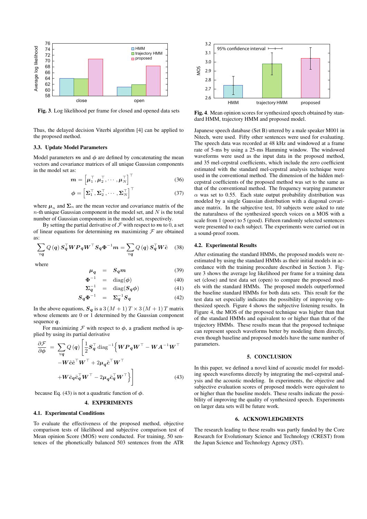

Fig. 3. Log likelihood per frame for closed and opened data sets

Thus, the delayed decision Viterbi algorithm [4] can be applied to the proposed method.

## 3.3. Update Model Parameters

Model parameters  $m$  and  $\phi$  are defined by concatenating the mean vectors and covariance matrices of all unique Gaussian components in the model set as:

$$
\mathbf{m} = \left[ \boldsymbol{\mu}_1^\top, \boldsymbol{\mu}_2^\top, \cdots, \boldsymbol{\mu}_N^\top \right]^\top \tag{36}
$$

$$
\boldsymbol{\phi} = \left[ \boldsymbol{\Sigma}_1^\top, \boldsymbol{\Sigma}_2^\top, \cdots, \boldsymbol{\Sigma}_N^\top \right]^\top \tag{37}
$$

where  $\mu_n$  and  $\Sigma_n$  are the mean vector and covariance matrix of the *n*-th unique Gaussian component in the model set, and *N* is the total number of Gaussian components in the model set, respectively.

By setting the partial derivative of  $\mathcal F$  with respect to  $m$  to 0, a set of linear equations for determining  $m$  maximizing  $\mathcal F$  are obtained as:

$$
\sum_{\forall q} Q(q) S_q^{\top} W P_q W^{\top} S_q \Phi^{-1} m = \sum_{\forall q} Q(q) S_q^{\top} W \tilde{c} \quad (38)
$$

where

$$
\mu_q = S_q m \tag{39}
$$

$$
\Phi^{-1} = \text{diag}(\phi) \tag{40}
$$

$$
\Sigma_q^{-1} = \text{diag}(S_q \phi) \tag{41}
$$

$$
S_q \Phi^{-1} = \Sigma_q^{-1} S_q \tag{42}
$$

In the above equations,  $S_q$  is a 3  $(M + 1) T \times 3 (M + 1) T$  matrix whose elements are 0 or 1 determined by the Gaussian component sequence *q*.

For maximizing  $\mathcal F$  with respect to  $\phi$ , a gradient method is applied by using its partial derivative

$$
\frac{\partial \mathcal{F}}{\partial \phi} = \sum_{\forall q} Q(q) \left[ \frac{1}{2} \mathbf{S}_q^\top \text{diag}^{-1} \left\{ \mathbf{W} \mathbf{P}_q \mathbf{W}^\top - \mathbf{W} \mathbf{A}^{-1} \mathbf{W}^\top \right. \\ \left. - \mathbf{W} \tilde{\mathbf{c}} \tilde{\mathbf{c}}^\top \mathbf{W}^\top + 2 \mu_q \tilde{\mathbf{c}}^\top \mathbf{W}^\top \right. \\ \left. + \mathbf{W} \bar{\mathbf{c}}_q \bar{\mathbf{c}}_q^\top \mathbf{W}^\top - 2 \mu_q \bar{\mathbf{c}}_q^\top \mathbf{W}^\top \right\} \right] \tag{43}
$$

because Eq. (43) is not a quadratic function of  $\phi$ .

#### 4. EXPERIMENTS

#### 4.1. Experimental Conditions

To evaluate the effectiveness of the proposed method, objective comparison tests of likelihood and subjective comparison test of Mean opinion Score (MOS) were conducted. For training, 50 sentences of the phonetically balanced 503 sentences from the ATR



Fig. 4. Mean opinion scores for synthesized speech obtained by standard HMM, trajectory HMM and proposed model.

Japanese speech database (Set B) uttered by a male speaker M001 in Nitech, were used. Fifty other sentences were used for evaluating. The speech data was recorded at 48 kHz and windowed at a frame rate of 5-ms by using a 25-ms Hamming window. The windowed waveforms were used as the input data in the proposed method, and 35 mel-cepstral coefficients, which include the zero coefficient estimated with the standard mel-cepstral analysis technique were used in the conventional method. The dimension of the hidden melcepstral coefficients of the proposed method was set to the same as that of the conventional method. The frequency warping parameter  $\alpha$  was set to 0.55. Each state output probability distribution was modeled by a single Gaussian distribution with a diagonal covariance matrix. In the subjective test, 10 subjects were asked to rate the naturalness of the synthesized speech voices on a MOS with a scale from 1 (poor) to 5 (good). Fifteen randomly selected sentences were presented to each subject. The experiments were carried out in a sound-proof room.

#### 4.2. Experimental Results

After estimating the standard HMMs, the proposed models were reestimated by using the standard HMMs as their initial models in accordance with the training procedure described in Section 3. Figure 3 shows the average log likelihood per frame for a training data set (close) and test data set (open) to compare the proposed models with the standard HMMs. The proposed models outperformed the baseline standard HMMs for both data sets. This result for the test data set especially indicates the possibility of improving synthesized speech. Figure 4 shows the subjective listening results. In Figure 4, the MOS of the proposed technique was higher than that of the standard HMMs and equivalent to or higher than that of the trajectory HMMs. These results mean that the proposed technique can represent speech waveforms better by modeling them directly, even though baseline and proposed models have the same number of parameters.

#### 5. CONCLUSION

In this paper, we defined a novel kind of acoustic model for modeling speech waveforms directly by integrating the mel-cepstral analysis and the acoustic modeling. In experiments, the objective and subjective evaluation scores of proposed models were equivalent to or higher than the baseline models. These results indicate the possibility of improving the quality of synthesized speech. Experiments on larger data sets will be future work.

#### 6. ACKNOWLEDGMENTS

The research leading to these results was partly funded by the Core Research for Evolutionary Science and Technology (CREST) from the Japan Science and Technology Agency (JST).